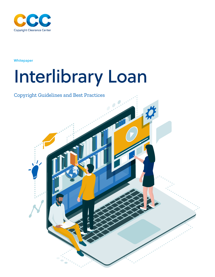

**Whitepaper** 

# Interlibrary Loan

## Copyright Guidelines and Best Practices

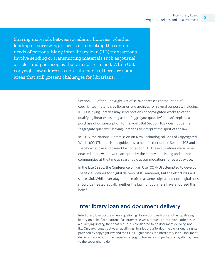Sharing materials between academic libraries, whether lending or borrowing, is critical to meeting the content needs of patrons. Many interlibrary loan (ILL) transactions involve sending or transmitting materials such as journal articles and photocopies that are not returned. While U.S. copyright law addresses non-returnables, there are some areas that still present challenges for librarians.

> Section 108 of the Copyright Act of 1976 addresses reproduction of copyrighted materials by libraries and archives for several purposes, including ILL. Qualifying libraries may send portions of copyrighted works to other qualifying libraries, as long as the "aggregate quantity" doesn't replace a purchase of or subscription to the work. But Section 108 does not define "aggregate quantity," leaving librarians to interpret the spirit of the law.

In 1978, the National Commission on New Technological Uses of Copyrighted Works (CONTU) published guidelines to help further define Section 108 and specify what can and cannot be copied for ILL. These guidelines were never enacted into law, but were accepted by the library, publishing and author communities at the time as reasonable accommodations for everyday use.

In the late 1990s, the Conference on Fair Use (CONFU) attempted to develop specific guidelines for digital delivery of ILL materials, but the effort was not successful. While everyday practice often assumes digital and non-digital uses should be treated equally, neither the law nor publishers have endorsed this belief.

#### Interlibrary loan and document delivery

Interlibrary loan occurs when a qualifying library borrows from another qualifying library on behalf of a patron. If a library receives a request from anyone other than a qualifying library, then that request is considered to be document delivery, not ILL. Only exchanges between qualifying libraries are afforded the exclusionary rights provided by copyright law and the CONTU guidelines for interlibrary loan. Document delivery transactions may require copyright clearance and perhaps a royalty payment to the copyright holder.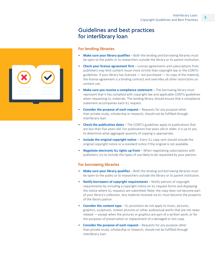## Guidelines and best practices for interlibrary loan

#### **For lending libraries**

- **Make sure your library qualifies** Both the lending and borrowing libraries must be open to the public or to researchers outside the library or its parent institution.
- **Check your license agreement first** License agreements and subscriptions from publishers may limit content reuse more strictly than copyright law or the CONTU guidelines. If your library has licensed — not purchased — its copy of the material, the license agreement is a binding contract and overrides all other restrictions on content use.
- **Make sure you receive a compliance statement** The borrowing library must represent that it has complied with copyright law and applicable CONTU guidelines when requesting ILL materials. The lending library should ensure that a compliance statement accompanies each ILL request.
- **Consider the purpose of each request** Requests for any purpose other than private study, scholarship or research, should not be fulfilled through interlibrary loan.
- **Check the publication dates** The CONTU guidelines apply to publications that are less than five years old. For publications five years old or older, it is up to you to determine what aggregate quantity of copying is appropriate.
- **Include the original copyright notice** Every ILL copy sent should include the original copyright notice or a standard notice if the original is not available.
- **Negotiate electronic ILL rights up front** When negotiating subscriptions with publishers, try to include the types of use likely to be requested by your patrons.

#### **For borrowing libraries**

- **Make sure your library qualifies** Both the lending and borrowing libraries must be open to the public or to researchers outside the library or its parent institution.
- **Notify borrowers of copyright requirements** Notify patrons of copyright requirements by including a copyright notice on ILL request forms and displaying the notice where ILL requests are submitted. Note: the copy does not become part of your library's collection. Any material received via ILL must become the property of the library patron.
- **Consider the content type** ILL provisions do not apply to music, pictures, graphics, sculptures, motion pictures or other audiovisual works that are not newsrelated — except when the pictures or graphics are part of a written work, or for the purposes of preservation or replacement of a damaged or lost copy.
- **Consider the purpose of each request** Requests for any purpose other than private study, scholarship or research, should not be fulfilled through interlibrary loan.

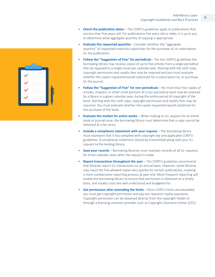- **Check the publication dates** The CONTU guidelines apply to publications that are less than five years old. For publications five years old or older, it is up to you to determine what aggregate quantity of copying is appropriate.
- **Evaluate the requested quantity** Consider whether the "aggregate quantity" of requested materials substitutes for the purchase of, or subscription to, the publication.
- **Follow the "Suggestion of Five" for periodicals** Per the CONTU guidelines the borrowing library may receive copies of up to five articles from a single periodical title (as opposed to a single issue) per calendar year. Starting with the sixth copy, copyright permission and royalty fees may be required and you must evaluate whether the copies requested would substitute for a subscription to, or purchase of, the journal.
- **Follow the "Suggestion of Five" for non-periodicals** No more than five copies of articles, chapters or other small portions of a non-periodical work may be received by a library in a given calendar year, during the entire period of copyright of the book. Starting with the sixth copy, copyright permission and royalty fees may be required. You must evaluate whether the copies requested would substitute for the purchase of the book.
- **Evaluate the market for entire works** When making an ILL request for an entire book or journal issue, the borrowing library must determine that a copy cannot be obtained at a fair price.
- **Include a compliance statement with your request** The borrowing library must represent that it has complied with copyright law and applicable CONTU guidelines. A compliance statement should be transmitted along with your ILL request to the lending library.
- **Save your records** Borrowing libraries must maintain records of all ILL requests for three calendar years after the request is made.
- **Report transactions throughout the year** The CONTU guidelines recommend that libraries report ILL transactions on an annual basis. However, some libraries may reach the five allowed copies very quickly for certain publications, creating a more cumbersome reporting process at year-end. More frequent reporting will enable the borrowing library to ensure that permission is obtained on a timely basis, and royalty costs are well understood and budgeted for.
- **Get permission after exceeding the limits** Once CONTU limits are exceeded, you must get copyright permission and pay any required royalty payments. Copyright permission can be obtained directly from the copyright holder or through a licensing solutions provider such as Copyright Clearance Center (CCC).